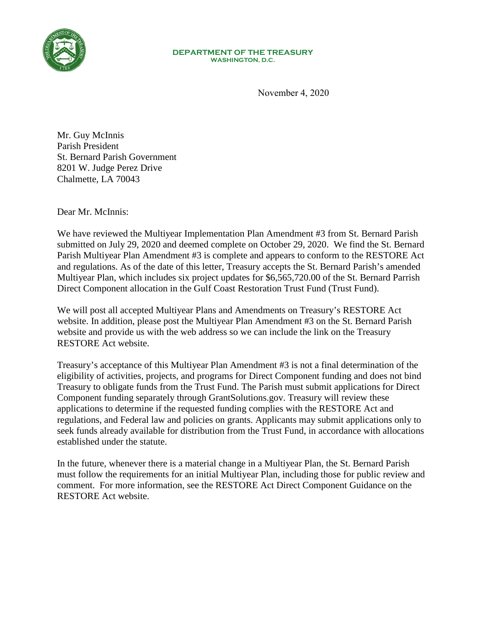

## **DEPARTMENT OF THE TREASURY WASHINGTON, D.C.**

November 4, 2020

Mr. Guy McInnis Parish President St. Bernard Parish Government 8201 W. Judge Perez Drive Chalmette, LA 70043

Dear Mr. McInnis:

We have reviewed the Multiyear Implementation Plan Amendment #3 from St. Bernard Parish submitted on July 29, 2020 and deemed complete on October 29, 2020. We find the St. Bernard Parish Multiyear Plan Amendment #3 is complete and appears to conform to the RESTORE Act and regulations. As of the date of this letter, Treasury accepts the St. Bernard Parish's amended Multiyear Plan, which includes six project updates for \$6,565,720.00 of the St. Bernard Parrish Direct Component allocation in the Gulf Coast Restoration Trust Fund (Trust Fund).

We will post all accepted Multiyear Plans and Amendments on Treasury's RESTORE Act website. In addition, please post the Multiyear Plan Amendment #3 on the St. Bernard Parish website and provide us with the web address so we can include the link on the Treasury RESTORE Act website.

Treasury's acceptance of this Multiyear Plan Amendment #3 is not a final determination of the eligibility of activities, projects, and programs for Direct Component funding and does not bind Treasury to obligate funds from the Trust Fund. The Parish must submit applications for Direct Component funding separately through GrantSolutions.gov. Treasury will review these applications to determine if the requested funding complies with the RESTORE Act and regulations, and Federal law and policies on grants. Applicants may submit applications only to seek funds already available for distribution from the Trust Fund, in accordance with allocations established under the statute.

In the future, whenever there is a material change in a Multiyear Plan, the St. Bernard Parish must follow the requirements for an initial Multiyear Plan, including those for public review and comment. For more information, see the RESTORE Act Direct Component Guidance on the RESTORE Act website.